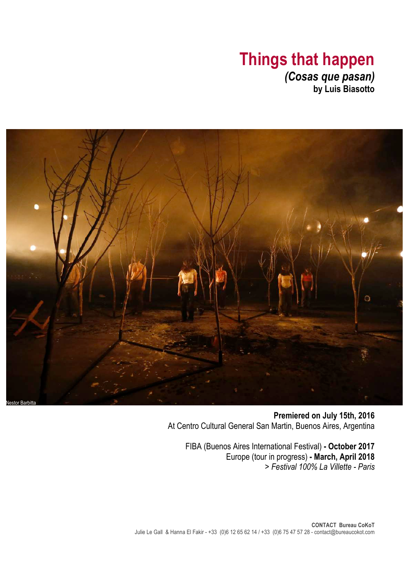# **Things that happen** *(Cosas que pasan)* **by Luis Biasotto**

Ō Nestor Barbitta

> **Premiered on July 15th, 2016** At Centro Cultural General San Martin, Buenos Aires, Argentina

FIBA (Buenos Aires International Festival) **- October 2017** Europe (tour in progress) **- March, April 2018** *> Festival 100% La Villette - Paris*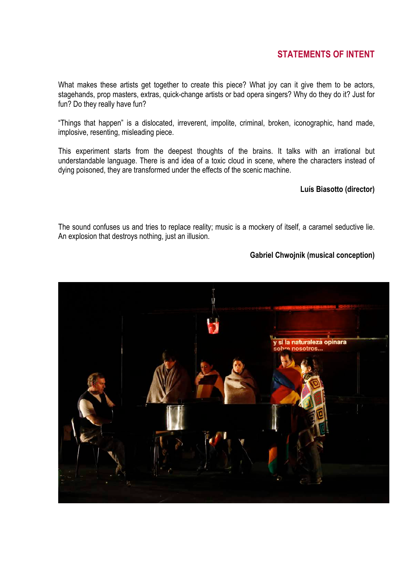## **STATEMENTS OF INTENT**

What makes these artists get together to create this piece? What joy can it give them to be actors, stagehands, prop masters, extras, quick-change artists or bad opera singers? Why do they do it? Just for fun? Do they really have fun?

"Things that happen" is a dislocated, irreverent, impolite, criminal, broken, iconographic, hand made, implosive, resenting, misleading piece.

This experiment starts from the deepest thoughts of the brains. It talks with an irrational but understandable language. There is and idea of a toxic cloud in scene, where the characters instead of dying poisoned, they are transformed under the effects of the scenic machine.

### **Luís Biasotto (director)**

The sound confuses us and tries to replace reality; music is a mockery of itself, a caramel seductive lie. An explosion that destroys nothing, just an illusion.

### **Gabriel Chwojnik (musical conception)**

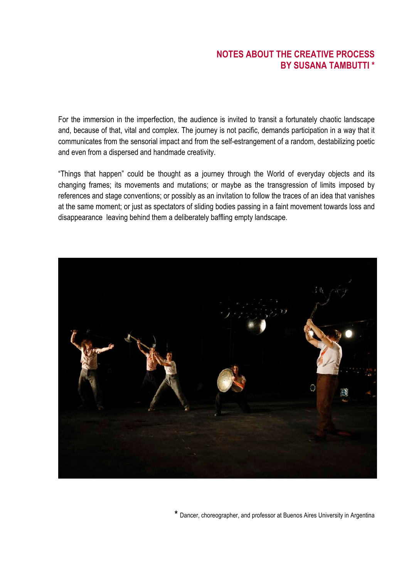### **NOTES ABOUT THE CREATIVE PROCESS BY SUSANA TAMBUTTI \***

For the immersion in the imperfection, the audience is invited to transit a fortunately chaotic landscape and, because of that, vital and complex. The journey is not pacific, demands participation in a way that it communicates from the sensorial impact and from the self-estrangement of a random, destabilizing poetic and even from a dispersed and handmade creativity.

"Things that happen" could be thought as a journey through the World of everyday objects and its changing frames; its movements and mutations; or maybe as the transgression of limits imposed by references and stage conventions; or possibly as an invitation to follow the traces of an idea that vanishes at the same moment; or just as spectators of sliding bodies passing in a faint movement towards loss and disappearance leaving behind them a deliberately baffling empty landscape.



**\*** Dancer, choreographer, and professor at Buenos Aires University in Argentina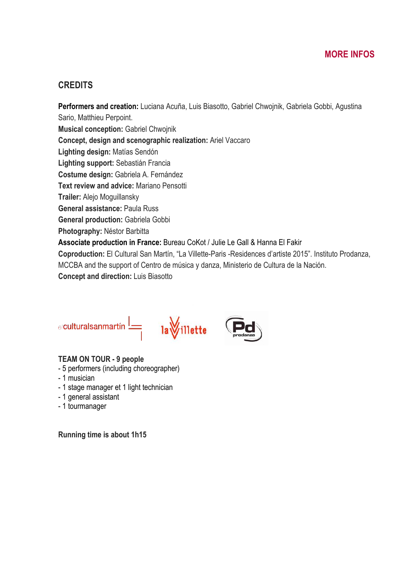### **CREDITS**

**Performers and creation:** Luciana Acuña, Luis Biasotto, Gabriel Chwojnik, Gabriela Gobbi, Agustina Sario, Matthieu Perpoint. **Musical conception:** Gabriel Chwojnik **Concept, design and scenographic realization:** Ariel Vaccaro **Lighting design:** Matías Sendón **Lighting support:** Sebastián Francia **Costume design:** Gabriela A. Fernández **Text review and advice:** Mariano Pensotti **Trailer:** Alejo Moguillansky **General assistance:** Paula Russ **General production:** Gabriela Gobbi **Photography:** Néstor Barbitta **Associate production in France:** Bureau CoKot / Julie Le Gall & Hanna El Fakir **Coproduction:** El Cultural San Martín, "La Villette-Paris -Residences d'artiste 2015". Instituto Prodanza, MCCBA and the support of Centro de música y danza, Ministerio de Cultura de la Nación. **Concept and direction:** Luis Biasotto





### **TEAM ON TOUR - 9 people**

- 5 performers (including choreographer)
- 1 musician
- 1 stage manager et 1 light technician
- 1 general assistant
- 1 tourmanager

**Running time is about 1h15**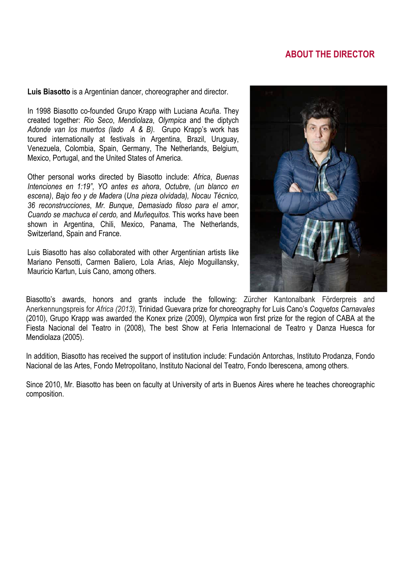## **ABOUT THE DIRECTOR**

**Luis Biasotto** is a Argentinian dancer, choreographer and director.

In 1998 Biasotto co-founded Grupo Krapp with Luciana Acuña. They created together: *Rio Seco*, *Mendiolaza*, *Olympica* and the diptych *Adonde van los muertos (lado A & B)*. Grupo Krapp's work has toured internationally at festivals in Argentina, Brazil, Uruguay, Venezuela, Colombia, Spain, Germany, The Netherlands, Belgium, Mexico, Portugal, and the United States of America.

Other personal works directed by Biasotto include: *Africa*, *Buenas Intenciones en 1:19"*, *YO antes es ahora*, *Octubre*, *(un blanco en escena)*, *Bajo feo y de Madera* (*Una pieza olvidada), Nocau Técnico, 36 reconstrucciones*, *Mr. Bunque*, *Demasiado filoso para el amor*, *Cuando se machuca el cerdo,* and *Muñequitos.* This works have been shown in Argentina, Chili, Mexico, Panama, The Netherlands, Switzerland, Spain and France.

Luis Biasotto has also collaborated with other Argentinian artists like Mariano Pensotti, Carmen Baliero, Lola Arias, Alejo Moguillansky, Mauricio Kartun, Luis Cano, among others.



Biasotto's awards, honors and grants include the following: Zürcher Kantonalbank Förderpreis and Anerkennungspreis for *Africa (2013),* Trinidad Guevara prize for choreography for Luis Cano's *Coquetos Carnavales* (2010), Grupo Krapp was awarded the Konex prize (2009), *Olympic*a won first prize for the region of CABA at the Fiesta Nacional del Teatro in (2008), The best Show at Feria Internacional de Teatro y Danza Huesca for Mendiolaza (2005).

In addition, Biasotto has received the support of institution include: Fundación Antorchas, Instituto Prodanza, Fondo Nacional de las Artes, Fondo Metropolitano, Instituto Nacional del Teatro, Fondo Iberescena, among others.

Since 2010, Mr. Biasotto has been on faculty at University of arts in Buenos Aires where he teaches choreographic composition.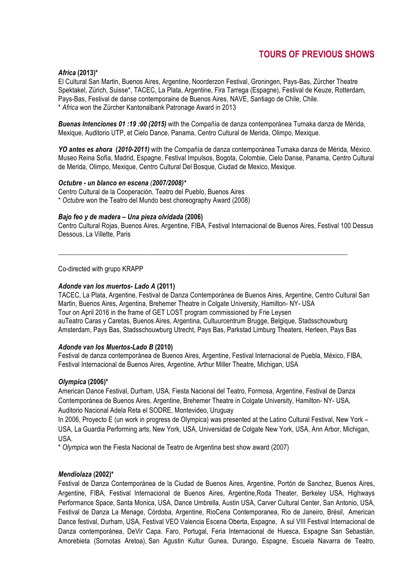### **TOURS OF PREVIOUS SHOWS**

### *Africa* **(2013)\***

El Cultural San Martin, Buenos Aires, Argentine, Noorderzon Festival, Groningen, Pays-Bas, Zürcher Theatre Spektakel, Zürich, Suisse\*, TACEC, La Plata, Argentine, Fira Tarrega (Espagne), Festival de Keuze, Rotterdam, Pays-Bas, Festival de danse contemporaine de Buenos Aires, NAVE, Santiago de Chile, Chile. \* *Africa* won the Zürcher Kantonalbank Patronage Award in 2013

*Buenas Intenciones 01 :19 :00 (2015)* with the Compañía de danza contemporánea Tumaka danza de Mérida, Mexique, Auditorio UTP, et Cielo Dance, Panama, Centro Cultural de Merida, Olimpo, Mexique.

*YO antes es ahora* **(***2010-2011)* with the Compañía de danza contemporánea Tumaka danza de Mérida, México. Museo Reina Sofía, Madrid, Espagne, Festival Impulsos, Bogota, Colombie, Cielo Danse, Panama, Centro Cultural de Merida, Olimpo, Mexique, Centro Cultural Del Bosque, Ciudad de Mexico, Mexique.

#### *Octubre - un blanco en escena (2007/2008)\**

Centro Cultural de la Cooperación, Teatro del Pueblo, Buenos Aires \* *Octubre* won the Teatro del Mundo best choreography Award (2008)

#### *Bajo feo y de madera – Una pieza olvidada* **(2006)**

Centro Cultural Rojas, Buenos Aires, Argentine, FIBA, Festival Internacional de Buenos Aires, Festival 100 Dessus Dessous, La Villette, Paris

\_\_\_\_\_\_\_\_\_\_\_\_\_\_\_\_\_\_\_\_\_\_\_\_\_\_\_\_\_\_\_\_\_\_\_\_\_\_\_\_\_\_\_\_\_\_\_\_\_\_\_\_\_\_\_\_\_\_\_\_\_\_\_\_\_\_\_\_\_\_\_\_\_\_\_\_\_\_\_\_\_\_\_\_

Co-directed with grupo KRAPP

#### *Adonde van los muertos- Lado A* **(2011)**

TACEC, La Plata, Argentine, Festival de Danza Contemporánea de Buenos Aires, Argentine, Centro Cultural San Martin, Buenos Aires, Argentina, Brehemer Theatre in Colgate University, Hamilton- NY- USA Tour on April 2016 in the frame of GET LOST program commissioned by Frie Leysen auTeatro Caras y Caretas, Buenos Aires, Argentina, Cultuurcentrum Brugge, Belgique, Stadsschouwburg Amsterdam, Pays Bas, Stadsschouwburg Utrecht, Pays Bas, Parkstad Limburg Theaters, Herleen, Pays Bas

#### *Adonde van los Muertos-Lado B* **(2010)**

Festival de danza contemporánea de Buenos Aires, Argentine, Festival Internacional de Puebla, México, FIBA, Festival Internacional de Buenos Aires, Argentine, Arthur Miller Theatre, Michigan, USA

#### *Olympica* **(2006)\***

American Dance Festival, Durham, USA, Fiesta Nacional del Teatro, Formosa, Argentine, Festival de Danza Contemporánea de Buenos Aires, Argentine, Brehemer Theatre in Colgate University, Hamilton- NY- USA, Auditorio Nacional Adela Reta el SODRE, Montevideo, Uruguay

In 2006, Proyecto E (un work in progress de Olympica) was presented at the Latino Cultural Festival, New York – USA, La Guardia Performing arts, New York, USA, Universidad de Colgate New York, USA, Ann Arbor, Michigan, USA.

\* *Olympica* won the Fiesta Nacional de Teatro de Argentina best show award (2007)

### *Mendiolaza* **(2002)\***

Festival de Danza Contemporánea de la Ciudad de Buenos Aires, Argentine, Portón de Sanchez, Buenos Aires, Argentine, FIBA, Festival Internacional de Buenos Aires, Argentine,Roda Theater, Berkeley USA, Highways Performance Space, Santa Monica, USA, Dance Umbrella, Austin USA, Carver Cultural Center, San Antonio, USA, Festival de Danza La Menage, Córdoba, Argentine, RioCena Contemporanea, Rio de Janeiro, Brésil, American Dance festival, Durham, USA, Festival VEO Valencia Escena Oberta, Espagne, A sul VIII Festival Internacional de Danza contemporánea, DeVir Capa. Faro, Portugal, Feria Internacional de Huesca, Espagne San Sebastián, Amorebieta (Sornotas Aretoa), San Agustin Kultur Gunea, Durango, Espagne, Escuela Navarra de Teatro,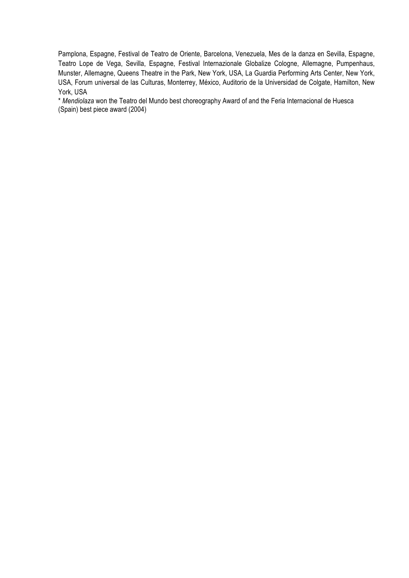Pamplona, Espagne, Festival de Teatro de Oriente, Barcelona, Venezuela, Mes de la danza en Sevilla, Espagne, Teatro Lope de Vega, Sevilla, Espagne, Festival Internazionale Globalize Cologne, Allemagne, Pumpenhaus, Munster, Allemagne, Queens Theatre in the Park, New York, USA, La Guardia Performing Arts Center, New York, USA, Forum universal de las Culturas, Monterrey, México, Auditorio de la Universidad de Colgate, Hamilton, New York, USA

\* *Mendiolaza* won the Teatro del Mundo best choreography Award of and the Feria Internacional de Huesca (Spain) best piece award (2004)